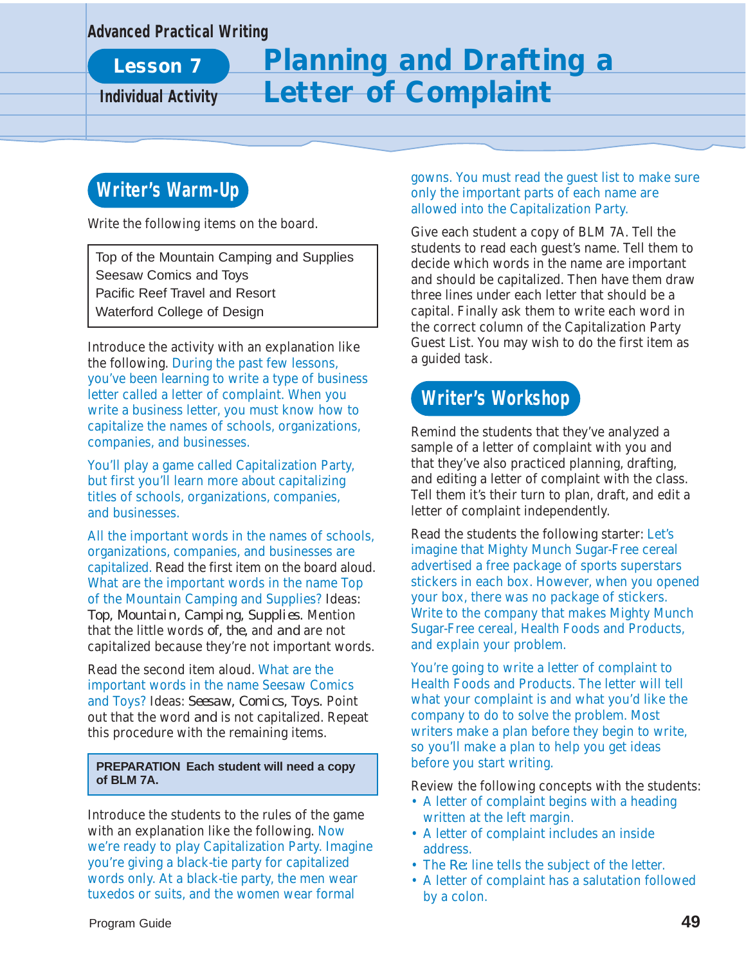#### **Advanced Practical Writing**

**Lesson 7**

# **Planning and Drafting a Individual Activity Letter of Complaint**

# **Writer's Warm-Up**

Write the following items on the board.

Top of the Mountain Camping and Supplies Seesaw Comics and Toys Pacific Reef Travel and Resort Waterford College of Design

Introduce the activity with an explanation like the following. During the past few lessons, you've been learning to write a type of business letter called a letter of complaint. When you write a business letter, you must know how to capitalize the names of schools, organizations, companies, and businesses.

You'll play a game called Capitalization Party, but first you'll learn more about capitalizing titles of schools, organizations, companies, and businesses.

All the important words in the names of schools, organizations, companies, and businesses are capitalized. Read the first item on the board aloud. What are the important words in the name Top of the Mountain Camping and Supplies? Ideas: *Top, Mountain, Camping, Supplies.* Mention that the little words *of, the,* and *and* are not capitalized because they're not important words.

Read the second item aloud. What are the important words in the name Seesaw Comics and Toys? Ideas: *Seesaw, Comics, Toys.* Point out that the word *and* is not capitalized. Repeat this procedure with the remaining items.

#### **PREPARATION Each student will need a copy of BLM 7A.**

Introduce the students to the rules of the game with an explanation like the following. Now we're ready to play Capitalization Party. Imagine you're giving a black-tie party for capitalized words only. At a black-tie party, the men wear tuxedos or suits, and the women wear formal

gowns. You must read the guest list to make sure only the important parts of each name are allowed into the Capitalization Party.

Give each student a copy of BLM 7A. Tell the students to read each guest's name. Tell them to decide which words in the name are important and should be capitalized. Then have them draw three lines under each letter that should be a capital. Finally ask them to write each word in the correct column of the Capitalization Party Guest List. You may wish to do the first item as a guided task.

# **Writer's Workshop**

Remind the students that they've analyzed a sample of a letter of complaint with you and that they've also practiced planning, drafting, and editing a letter of complaint with the class. Tell them it's their turn to plan, draft, and edit a letter of complaint independently.

Read the students the following starter: Let's imagine that Mighty Munch Sugar-Free cereal advertised a free package of sports superstars stickers in each box. However, when you opened your box, there was no package of stickers. Write to the company that makes Mighty Munch Sugar-Free cereal, Health Foods and Products, and explain your problem.

You're going to write a letter of complaint to Health Foods and Products. The letter will tell what your complaint is and what you'd like the company to do to solve the problem. Most writers make a plan before they begin to write, so you'll make a plan to help you get ideas before you start writing.

Review the following concepts with the students:

- A letter of complaint begins with a heading written at the left margin.
- A letter of complaint includes an inside address.
- The *Re:* line tells the subject of the letter.
- A letter of complaint has a salutation followed by a colon.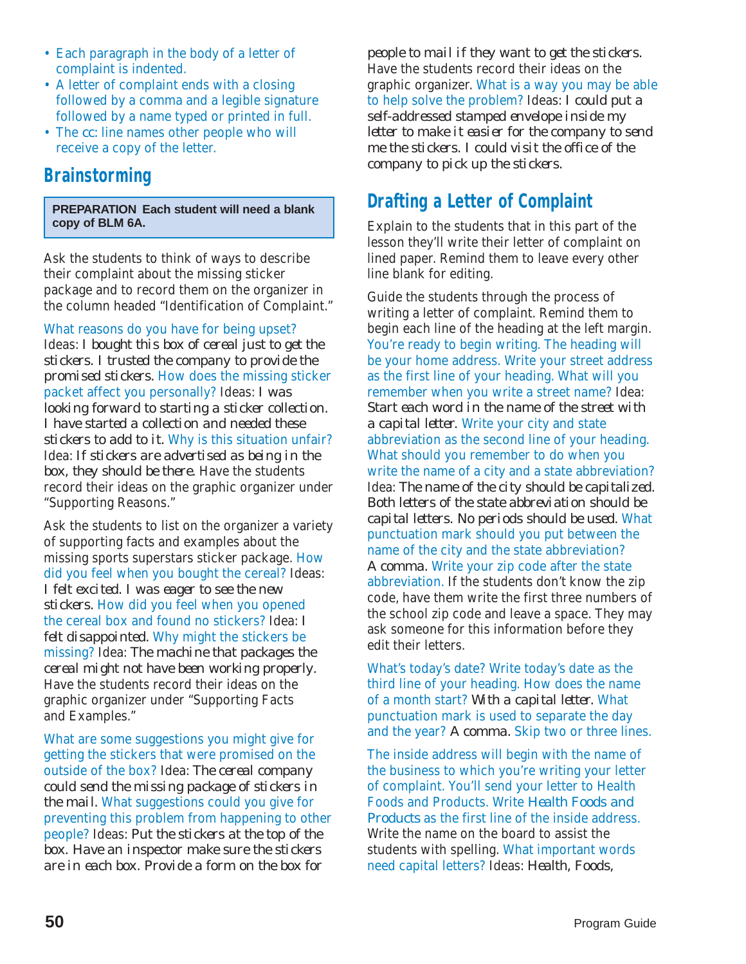- Each paragraph in the body of a letter of complaint is indented.
- A letter of complaint ends with a closing followed by a comma and a legible signature followed by a name typed or printed in full.
- The *cc:* line names other people who will receive a copy of the letter.

### **Brainstorming**

**PREPARATION Each student will need a blank copy of BLM 6A.**

Ask the students to think of ways to describe their complaint about the missing sticker package and to record them on the organizer in the column headed "Identification of Complaint."

What reasons do you have for being upset? Ideas: *I bought this box of cereal just to get the stickers. I trusted the company to provide the promised stickers.* How does the missing sticker packet affect you personally? Ideas: *I was looking forward to starting a sticker collection. I have started a collection and needed these stickers to add to it.* Why is this situation unfair? Idea: *If stickers are advertised as being in the box, they should be there.* Have the students record their ideas on the graphic organizer under "Supporting Reasons."

Ask the students to list on the organizer a variety of supporting facts and examples about the missing sports superstars sticker package. How did you feel when you bought the cereal? Ideas: *I felt excited. I was eager to see the new stickers.* How did you feel when you opened the cereal box and found no stickers? Idea: *I felt disappointed.* Why might the stickers be missing? Idea: *The machine that packages the cereal might not have been working properly.* Have the students record their ideas on the graphic organizer under "Supporting Facts and Examples."

What are some suggestions you might give for getting the stickers that were promised on the outside of the box? Idea: *The cereal company could send the missing package of stickers in the mail.* What suggestions could you give for preventing this problem from happening to other people? Ideas: *Put the stickers at the top of the box. Have an inspector make sure the stickers are in each box. Provide a form on the box for*

*people to mail if they want to get the stickers.* Have the students record their ideas on the graphic organizer. What is a way you may be able to help solve the problem? Ideas: *I could put a self-addressed stamped envelope inside my letter to make it easier for the company to send me the stickers. I could visit the office of the company to pick up the stickers.*

## **Drafting a Letter of Complaint**

Explain to the students that in this part of the lesson they'll write their letter of complaint on lined paper. Remind them to leave every other line blank for editing.

Guide the students through the process of writing a letter of complaint. Remind them to begin each line of the heading at the left margin. You're ready to begin writing. The heading will be your home address. Write your street address as the first line of your heading. What will you remember when you write a street name? Idea: *Start each word in the name of the street with a capital letter.* Write your city and state abbreviation as the second line of your heading. What should you remember to do when you write the name of a city and a state abbreviation? Idea: *The name of the city should be capitalized. Both letters of the state abbreviation should be capital letters. No periods should be used.* What punctuation mark should you put between the name of the city and the state abbreviation? *A comma.* Write your zip code after the state abbreviation. If the students don't know the zip code, have them write the first three numbers of the school zip code and leave a space. They may ask someone for this information before they edit their letters.

What's today's date? Write today's date as the third line of your heading. How does the name of a month start? *With a capital letter.* What punctuation mark is used to separate the day and the year? *A comma.* Skip two or three lines.

The inside address will begin with the name of the business to which you're writing your letter of complaint. You'll send your letter to Health Foods and Products. Write *Health Foods and Products* as the first line of the inside address. Write the name on the board to assist the students with spelling. What important words need capital letters? Ideas: *Health, Foods,*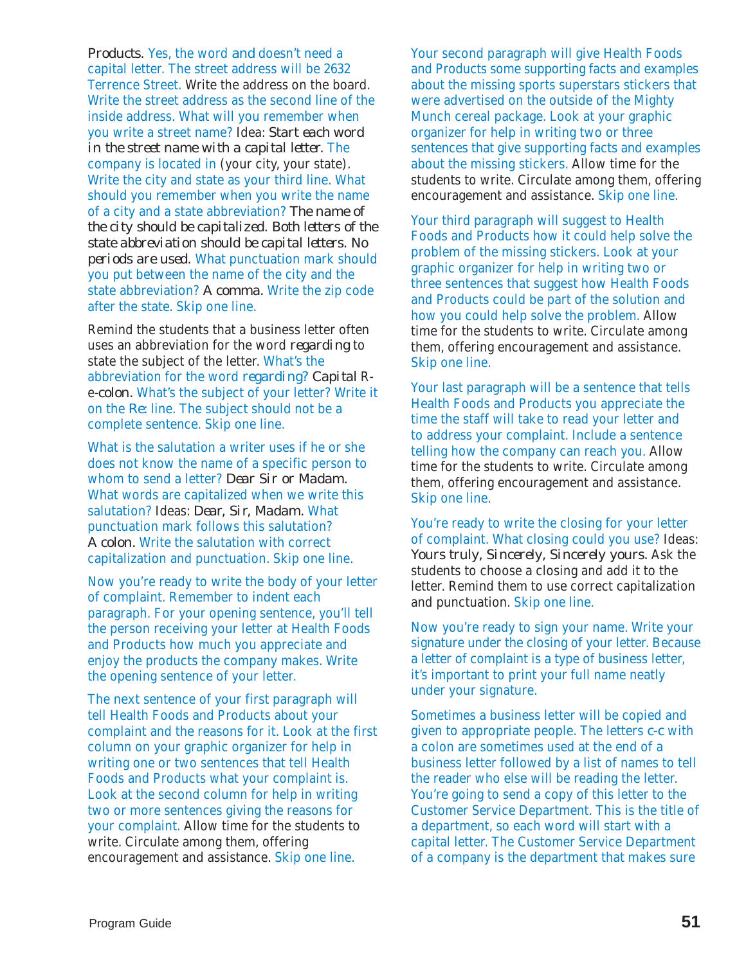*Products.* Yes, the word *and* doesn't need a capital letter. The street address will be 2632 Terrence Street. Write the address on the board. Write the street address as the second line of the inside address. What will you remember when you write a street name? Idea: *Start each word in the street name with a capital letter.* The company is located in (your city, your state). Write the city and state as your third line. What should you remember when you write the name of a city and a state abbreviation? *The name of the city should be capitalized. Both letters of the state abbreviation should be capital letters. No periods are used.* What punctuation mark should you put between the name of the city and the state abbreviation? *A comma.* Write the zip code after the state. Skip one line.

Remind the students that a business letter often uses an abbreviation for the word *regarding* to state the subject of the letter. What's the abbreviation for the word *regarding? Capital* Re-*colon.* What's the subject of your letter? Write it on the *Re:* line. The subject should not be a complete sentence. Skip one line.

What is the salutation a writer uses if he or she does not know the name of a specific person to whom to send a letter? *Dear Sir or Madam.* What words are capitalized when we write this salutation? Ideas: *Dear, Sir, Madam.* What punctuation mark follows this salutation? *A colon.* Write the salutation with correct capitalization and punctuation. Skip one line.

Now you're ready to write the body of your letter of complaint. Remember to indent each paragraph. For your opening sentence, you'll tell the person receiving your letter at Health Foods and Products how much you appreciate and enjoy the products the company makes. Write the opening sentence of your letter.

The next sentence of your first paragraph will tell Health Foods and Products about your complaint and the reasons for it. Look at the first column on your graphic organizer for help in writing one or two sentences that tell Health Foods and Products what your complaint is. Look at the second column for help in writing two or more sentences giving the reasons for your complaint. Allow time for the students to write. Circulate among them, offering encouragement and assistance. Skip one line.

Your second paragraph will give Health Foods and Products some supporting facts and examples about the missing sports superstars stickers that were advertised on the outside of the Mighty Munch cereal package. Look at your graphic organizer for help in writing two or three sentences that give supporting facts and examples about the missing stickers. Allow time for the students to write. Circulate among them, offering encouragement and assistance. Skip one line.

Your third paragraph will suggest to Health Foods and Products how it could help solve the problem of the missing stickers. Look at your graphic organizer for help in writing two or three sentences that suggest how Health Foods and Products could be part of the solution and how you could help solve the problem. Allow time for the students to write. Circulate among them, offering encouragement and assistance. Skip one line.

Your last paragraph will be a sentence that tells Health Foods and Products you appreciate the time the staff will take to read your letter and to address your complaint. Include a sentence telling how the company can reach you. Allow time for the students to write. Circulate among them, offering encouragement and assistance. Skip one line.

You're ready to write the closing for your letter of complaint. What closing could you use? Ideas: *Yours truly, Sincerely, Sincerely yours.* Ask the students to choose a closing and add it to the letter. Remind them to use correct capitalization and punctuation. Skip one line.

Now you're ready to sign your name. Write your signature under the closing of your letter. Because a letter of complaint is a type of business letter, it's important to print your full name neatly under your signature.

Sometimes a business letter will be copied and given to appropriate people. The letters *c-c* with a colon are sometimes used at the end of a business letter followed by a list of names to tell the reader who else will be reading the letter. You're going to send a copy of this letter to the Customer Service Department. This is the title of a department, so each word will start with a capital letter. The Customer Service Department of a company is the department that makes sure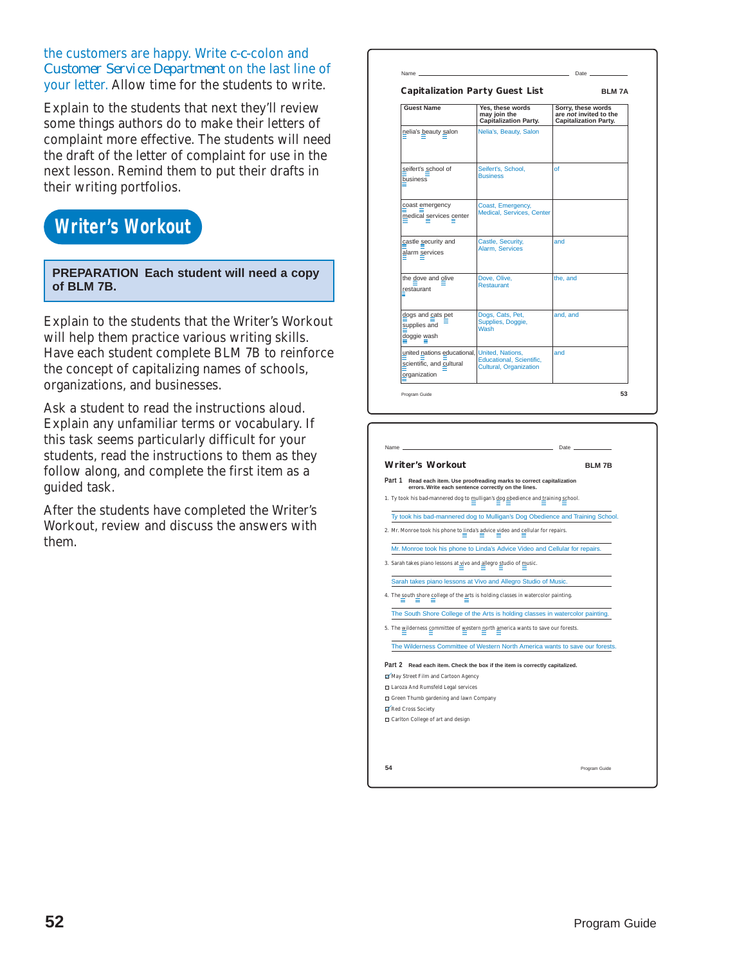#### the customers are happy. Write *c-c-*colon and *Customer Service Department* on the last line of your letter. Allow time for the students to write.

Explain to the students that next they'll review some things authors do to make their letters of complaint more effective. The students will need the draft of the letter of complaint for use in the next lesson. Remind them to put their drafts in their writing portfolios.

# **Writer's Workout**

**PREPARATION Each student will need a copy of BLM 7B.**

Explain to the students that the Writer's Workout will help them practice various writing skills. Have each student complete BLM 7B to reinforce the concept of capitalizing names of schools, organizations, and businesses.

Ask a student to read the instructions aloud. Explain any unfamiliar terms or vocabulary. If this task seems particularly difficult for your students, read the instructions to them as they follow along, and complete the first item as a guided task.

After the students have completed the Writer's Workout, review and discuss the answers with them.

| <b>Guest Name</b>                                                                        | Yes, these words<br>may join the<br><b>Capitalization Party.</b> | Sorry, these words<br>are not invited to the<br><b>Capitalization Party.</b> |
|------------------------------------------------------------------------------------------|------------------------------------------------------------------|------------------------------------------------------------------------------|
| nelia's beauty salon                                                                     | Nelia's, Beauty, Salon                                           |                                                                              |
| seifert's school of<br>business                                                          | Seifert's, School,<br><b>Business</b>                            | Ωf                                                                           |
| coast emergency<br>medical services center                                               | Coast, Emergency,<br><b>Medical, Services, Center</b>            |                                                                              |
| castle security and<br>alarm services                                                    | Castle, Security,<br>Alarm, Services                             | and                                                                          |
| the dove and olive<br>restaurant                                                         | Dove, Olive,<br><b>Restaurant</b>                                | the, and                                                                     |
| dogs and cats pet<br>supplies and<br>doggie wash                                         | Dogs, Cats, Pet,<br>Supplies, Doggie,<br><b>Wash</b>             | and, and                                                                     |
| united nations educational, United, Nations,<br>scientific, and cultural<br>organization | Educational, Scientific,<br>Cultural, Organization               | and                                                                          |
| Program Guide                                                                            |                                                                  | 53                                                                           |

|        | <b>Writer's Workout</b>                                                                                                 | <b>BLM7B</b> |
|--------|-------------------------------------------------------------------------------------------------------------------------|--------------|
| Part 1 | Read each item. Use proofreading marks to correct capitalization<br>errors. Write each sentence correctly on the lines. |              |
|        | 1. Ty took his bad-mannered dog to mulligan's dog obedience and training school.                                        |              |
|        | Ty took his bad-mannered dog to Mulligan's Dog Obedience and Training School.                                           |              |
|        | 2. Mr. Monroe took his phone to linda's advice video and cellular for repairs.                                          |              |
|        | Mr. Monroe took his phone to Linda's Advice Video and Cellular for repairs.                                             |              |
|        | 3. Sarah takes piano lessons at vivo and allegro studio of music.                                                       |              |
|        | Sarah takes piano lessons at Vivo and Allegro Studio of Music.                                                          |              |
|        | 4. The south shore college of the arts is holding classes in watercolor painting.                                       |              |
|        | The South Shore College of the Arts is holding classes in watercolor painting.                                          |              |
|        |                                                                                                                         |              |
|        | 5. The wilderness committee of western north america wants to save our forests.                                         |              |
|        | The Wilderness Committee of Western North America wants to save our forests.                                            |              |
|        |                                                                                                                         |              |
|        | Part 2 Read each item. Check the box if the item is correctly capitalized.                                              |              |
|        | May Street Film and Cartoon Agency                                                                                      |              |
|        | □ Laroza And Rumsfeld Legal services                                                                                    |              |
|        | $\Box$ Green Thumb gardening and lawn Company<br>Red Cross Society                                                      |              |
|        |                                                                                                                         |              |
|        | $\Box$ Carlton College of art and design                                                                                |              |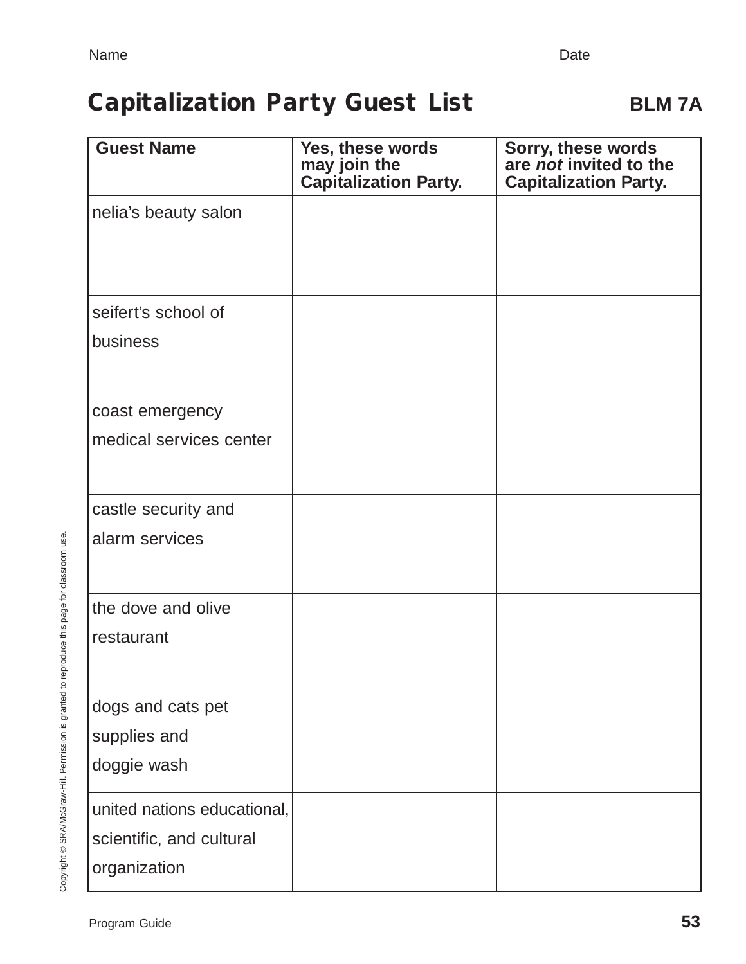# **Capitalization Party Guest List BLM 7A**

| <b>Guest Name</b>           | Yes, these words<br>may join the<br><b>Capitalization Party.</b> | Sorry, these words<br>are not invited to the<br><b>Capitalization Party.</b> |
|-----------------------------|------------------------------------------------------------------|------------------------------------------------------------------------------|
| nelia's beauty salon        |                                                                  |                                                                              |
| seifert's school of         |                                                                  |                                                                              |
| business                    |                                                                  |                                                                              |
| coast emergency             |                                                                  |                                                                              |
| medical services center     |                                                                  |                                                                              |
| castle security and         |                                                                  |                                                                              |
| alarm services              |                                                                  |                                                                              |
| the dove and olive          |                                                                  |                                                                              |
| restaurant                  |                                                                  |                                                                              |
| dogs and cats pet           |                                                                  |                                                                              |
| supplies and                |                                                                  |                                                                              |
| doggie wash                 |                                                                  |                                                                              |
| united nations educational, |                                                                  |                                                                              |
| scientific, and cultural    |                                                                  |                                                                              |
| organization                |                                                                  |                                                                              |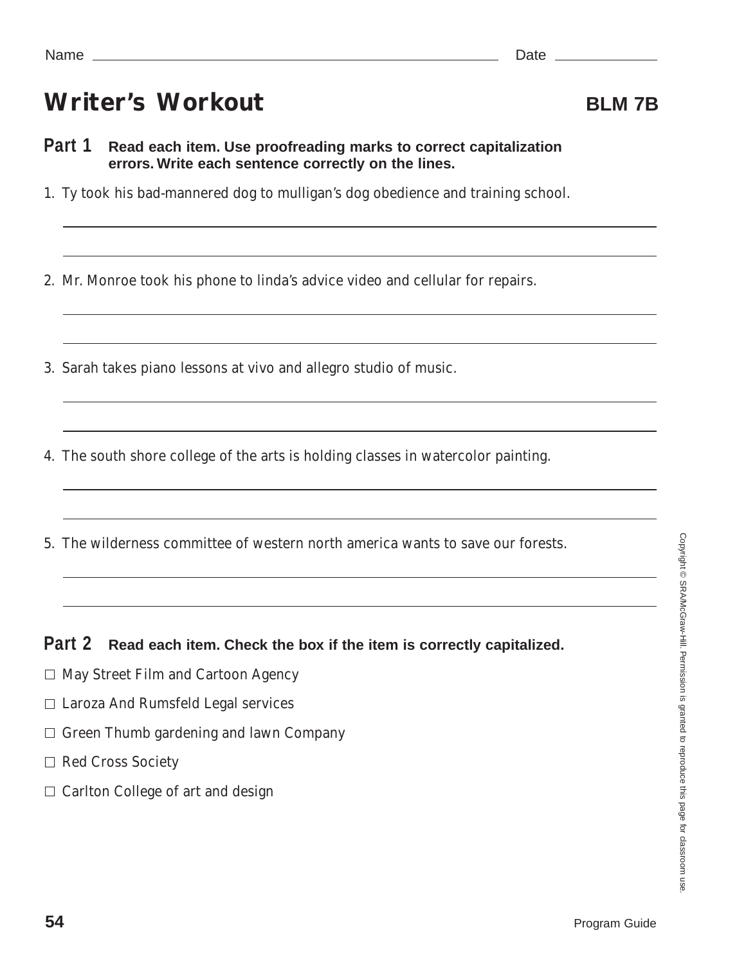# Writer's Workout **BLM 7B**

- **Part 1 Read each item. Use proofreading marks to correct capitalization errors. Write each sentence correctly on the lines.**
- 1. Ty took his bad-mannered dog to mulligan's dog obedience and training school.

2. Mr. Monroe took his phone to linda's advice video and cellular for repairs.

- 3. Sarah takes piano lessons at vivo and allegro studio of music.
- 4. The south shore college of the arts is holding classes in watercolor painting.

the control of the control of the control of the control of the control of the control of the control of the control of the control of the control of the control of the control of the control of the control of the control

5. The wilderness committee of western north america wants to save our forests.

**Part 2 Read each item. Check the box if the item is correctly capitalized.**

- $\Box$  May Street Film and Cartoon Agency
- $\Box$  Laroza And Rumsfeld Legal services
- $\Box$  Green Thumb gardening and lawn Company
- □ Red Cross Society
- $\Box$  Carlton College of art and design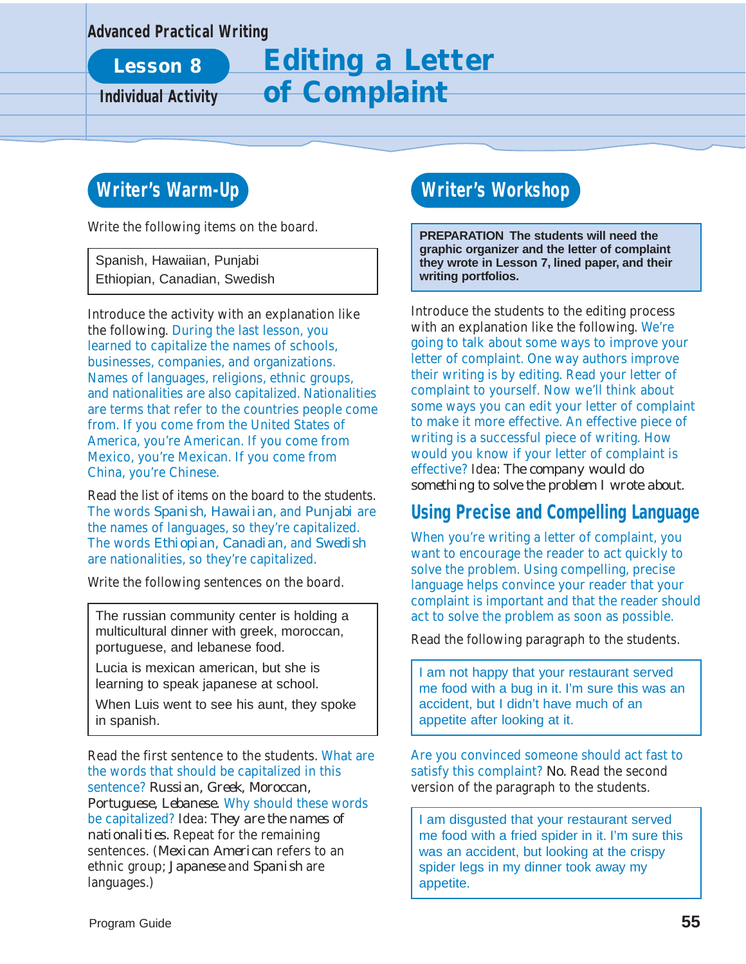#### **Advanced Practical Writing**

# **Lesson 8 Editing a Letter Individual Activity of Complaint**

# **Writer's Warm-Up**

Write the following items on the board.

Spanish, Hawaiian, Punjabi Ethiopian, Canadian, Swedish

Introduce the activity with an explanation like the following. During the last lesson, you learned to capitalize the names of schools, businesses, companies, and organizations. Names of languages, religions, ethnic groups, and nationalities are also capitalized. Nationalities are terms that refer to the countries people come from. If you come from the United States of America, you're American. If you come from Mexico, you're Mexican. If you come from China, you're Chinese.

Read the list of items on the board to the students. The words *Spanish, Hawaiian,* and *Punjabi* are the names of languages, so they're capitalized. The words *Ethiopian, Canadian,* and *Swedish* are nationalities, so they're capitalized.

Write the following sentences on the board.

The russian community center is holding a multicultural dinner with greek, moroccan, portuguese, and lebanese food.

Lucia is mexican american, but she is learning to speak japanese at school.

When Luis went to see his aunt, they spoke in spanish.

Read the first sentence to the students. What are the words that should be capitalized in this sentence? *Russian, Greek, Moroccan, Portuguese, Lebanese.* Why should these words be capitalized? Idea: *They are the names of nationalities.* Repeat for the remaining sentences. (*Mexican American* refers to an ethnic group; *Japanese* and *Spanish* are languages.)

### **Writer's Workshop**

**PREPARATION The students will need the graphic organizer and the letter of complaint they wrote in Lesson 7, lined paper, and their writing portfolios.**

Introduce the students to the editing process with an explanation like the following. We're going to talk about some ways to improve your letter of complaint. One way authors improve their writing is by editing. Read your letter of complaint to yourself. Now we'll think about some ways you can edit your letter of complaint to make it more effective. An effective piece of writing is a successful piece of writing. How would you know if your letter of complaint is effective? Idea: *The company would do something to solve the problem I wrote about.*

### **Using Precise and Compelling Language**

When you're writing a letter of complaint, you want to encourage the reader to act quickly to solve the problem. Using compelling, precise language helps convince your reader that your complaint is important and that the reader should act to solve the problem as soon as possible.

Read the following paragraph to the students.

I am not happy that your restaurant served me food with a bug in it. I'm sure this was an accident, but I didn't have much of an appetite after looking at it.

Are you convinced someone should act fast to satisfy this complaint? *No.* Read the second version of the paragraph to the students.

I am disgusted that your restaurant served me food with a fried spider in it. I'm sure this was an accident, but looking at the crispy spider legs in my dinner took away my appetite.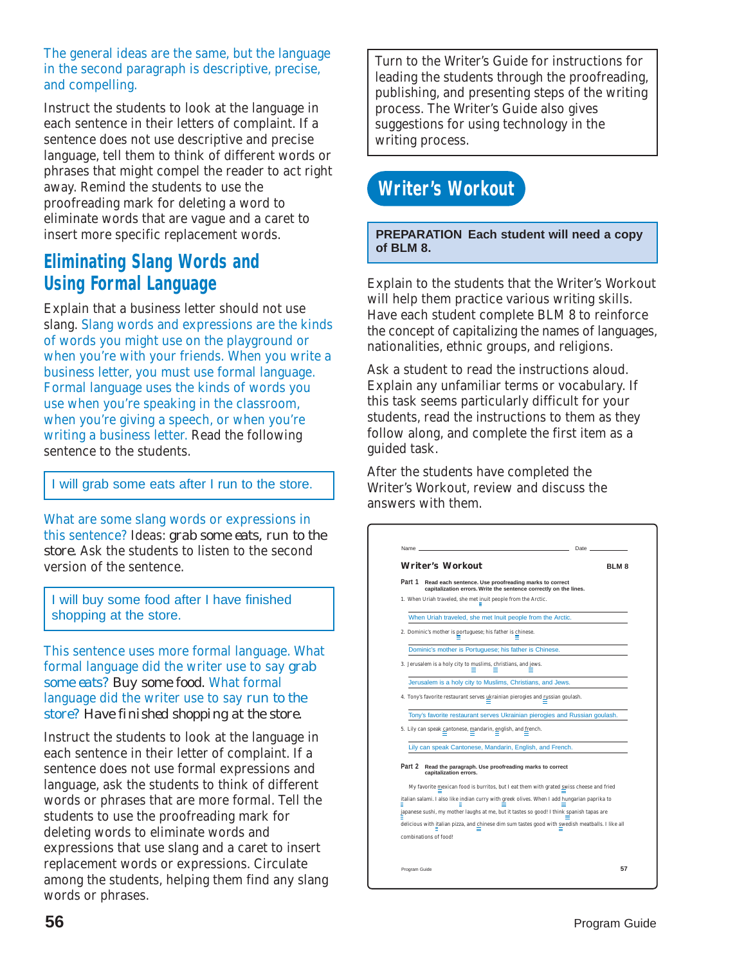The general ideas are the same, but the language in the second paragraph is descriptive, precise, and compelling.

Instruct the students to look at the language in each sentence in their letters of complaint. If a sentence does not use descriptive and precise language, tell them to think of different words or phrases that might compel the reader to act right away. Remind the students to use the proofreading mark for deleting a word to eliminate words that are vague and a caret to insert more specific replacement words.

### **Eliminating Slang Words and Using Formal Language**

Explain that a business letter should not use slang. Slang words and expressions are the kinds of words you might use on the playground or when you're with your friends. When you write a business letter, you must use formal language. Formal language uses the kinds of words you use when you're speaking in the classroom, when you're giving a speech, or when you're writing a business letter. Read the following sentence to the students.

I will grab some eats after I run to the store.

What are some slang words or expressions in this sentence? Ideas: *grab some eats, run to the store.* Ask the students to listen to the second version of the sentence.

I will buy some food after I have finished shopping at the store.

This sentence uses more formal language. What formal language did the writer use to say *grab some eats? Buy some food.* What formal language did the writer use to say *run to the store? Have finished shopping at the store.*

Instruct the students to look at the language in each sentence in their letter of complaint. If a sentence does not use formal expressions and language, ask the students to think of different words or phrases that are more formal. Tell the students to use the proofreading mark for deleting words to eliminate words and expressions that use slang and a caret to insert replacement words or expressions. Circulate among the students, helping them find any slang words or phrases.

Turn to the Writer's Guide for instructions for leading the students through the proofreading, publishing, and presenting steps of the writing process. The Writer's Guide also gives suggestions for using technology in the writing process.

# **Writer's Workout**

**PREPARATION Each student will need a copy of BLM 8.**

Explain to the students that the Writer's Workout will help them practice various writing skills. Have each student complete BLM 8 to reinforce the concept of capitalizing the names of languages, nationalities, ethnic groups, and religions.

Ask a student to read the instructions aloud. Explain any unfamiliar terms or vocabulary. If this task seems particularly difficult for your students, read the instructions to them as they follow along, and complete the first item as a guided task.

After the students have completed the Writer's Workout, review and discuss the answers with them.

| <b>Writer's Workout</b>                                                                                                                                                                                                                                                                                                                                                                       | BLM <sub>8</sub> |
|-----------------------------------------------------------------------------------------------------------------------------------------------------------------------------------------------------------------------------------------------------------------------------------------------------------------------------------------------------------------------------------------------|------------------|
|                                                                                                                                                                                                                                                                                                                                                                                               |                  |
| Part 1<br>Read each sentence. Use proofreading marks to correct<br>capitalization errors. Write the sentence correctly on the lines.                                                                                                                                                                                                                                                          |                  |
| 1. When Uriah traveled, she met inuit people from the Arctic.                                                                                                                                                                                                                                                                                                                                 |                  |
| When Uriah traveled, she met Inuit people from the Arctic.                                                                                                                                                                                                                                                                                                                                    |                  |
| 2. Dominic's mother is portuguese; his father is chinese.                                                                                                                                                                                                                                                                                                                                     |                  |
| Dominic's mother is Portuguese; his father is Chinese.                                                                                                                                                                                                                                                                                                                                        |                  |
| 3. Jerusalem is a holy city to muslims, christians, and jews.                                                                                                                                                                                                                                                                                                                                 |                  |
| Jerusalem is a holy city to Muslims, Christians, and Jews.                                                                                                                                                                                                                                                                                                                                    |                  |
| 4. Tony's favorite restaurant serves ukrainian pierogies and russian goulash.                                                                                                                                                                                                                                                                                                                 |                  |
| Tony's favorite restaurant serves Ukrainian pierogies and Russian goulash.                                                                                                                                                                                                                                                                                                                    |                  |
|                                                                                                                                                                                                                                                                                                                                                                                               |                  |
|                                                                                                                                                                                                                                                                                                                                                                                               |                  |
| Lily can speak Cantonese, Mandarin, English, and French.                                                                                                                                                                                                                                                                                                                                      |                  |
| Read the paragraph. Use proofreading marks to correct<br>capitalization errors.                                                                                                                                                                                                                                                                                                               |                  |
| My favorite mexican food is burritos, but I eat them with grated swiss cheese and fried                                                                                                                                                                                                                                                                                                       |                  |
|                                                                                                                                                                                                                                                                                                                                                                                               |                  |
|                                                                                                                                                                                                                                                                                                                                                                                               |                  |
| 5. Lily can speak cantonese, mandarin, english, and french.<br>Part 2<br>italian salami. I also like indian curry with greek olives. When I add hungarian paprika to<br>japanese sushi, my mother laughs at me, but it tastes so good! I think spanish tapas are<br>delicious with italian pizza, and chinese dim sum tastes good with swedish meatballs. I like all<br>combinations of food! |                  |